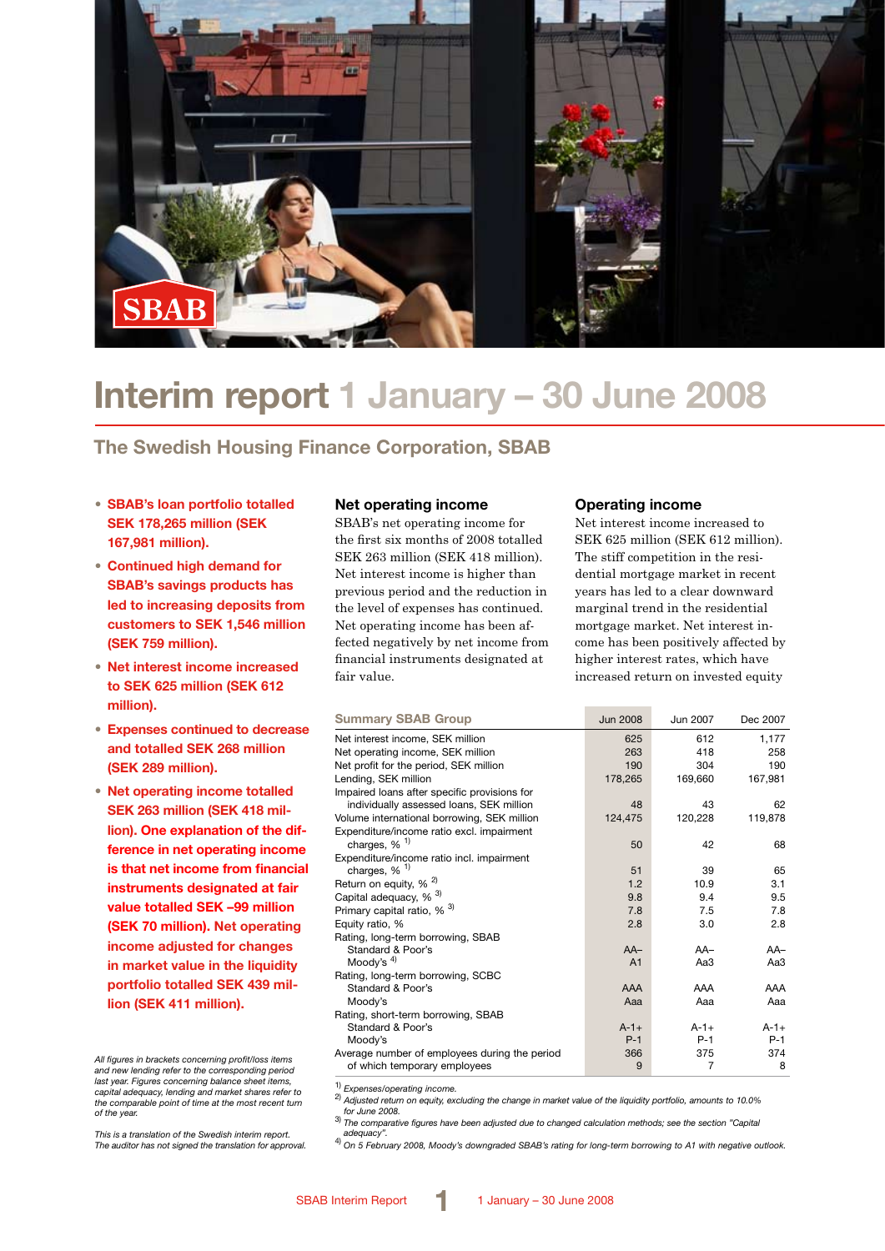

# **Interim report 1 January – 30 June 2008**

### **The Swedish Housing Finance Corporation, SBAB**

- **SBAB's loan portfolio totalled SEK 178,265 million (SEK 167,981 million).**
- **Continued high demand for SBAB's savings products has led to increasing deposits from customers to SEK 1,546 million (SEK 759 million).**
- **Net interest income increased to SEK 625 million (SEK 612 million).**
- **Expenses continued to decrease and totalled SEK 268 million (SEK 289 million).**
- **Net operating income totalled SEK 263 million (SEK 418 million). One explanation of the difference in net operating income is that net income from financial instruments designated at fair value totalled SEK –99 million (SEK 70 million). Net operating income adjusted for changes in market value in the liquidity portfolio totalled SEK 439 million (SEK 411 million).**

*All figures in brackets concerning profit/loss items and new lending refer to the corresponding period last year. Figures concerning balance sheet items, capital adequacy, lending and market shares refer to the comparable point of time at the most recent turn of the year.*

*This is a translation of the Swedish interim report. The auditor has not signed the translation for approval.*

### **Net operating income**

SBAB's net operating income for the first six months of 2008 totalled SEK 263 million (SEK 418 million). Net interest income is higher than previous period and the reduction in the level of expenses has continued. Net operating income has been affected negatively by net income from financial instruments designated at fair value.

### **Operating income**

Net interest income increased to SEK 625 million (SEK 612 million). The stiff competition in the residential mortgage market in recent years has led to a clear downward marginal trend in the residential mortgage market. Net interest income has been positively affected by higher interest rates, which have increased return on invested equity

| <b>Summary SBAB Group</b>                     | <b>Jun 2008</b> | Jun 2007  | Dec 2007  |
|-----------------------------------------------|-----------------|-----------|-----------|
| Net interest income, SEK million              | 625             | 612       | 1,177     |
| Net operating income, SEK million             | 263             | 418       | 258       |
| Net profit for the period, SEK million        | 190             | 304       | 190       |
| Lending, SEK million                          | 178,265         | 169,660   | 167,981   |
| Impaired loans after specific provisions for  |                 |           |           |
| individually assessed loans, SEK million      | 48              | 43        | 62        |
| Volume international borrowing, SEK million   | 124,475         | 120,228   | 119,878   |
| Expenditure/income ratio excl. impairment     |                 |           |           |
| charges, $%$ <sup>1)</sup>                    | 50              | 42        | 68        |
| Expenditure/income ratio incl. impairment     |                 |           |           |
| charges, $%$ <sup>1)</sup>                    | 51              | 39        | 65        |
| Return on equity, % <sup>2)</sup>             | 1.2             | 10.9      | 3.1       |
| Capital adequacy, % <sup>3)</sup>             | 9.8             | 9.4       | 9.5       |
| Primary capital ratio, % <sup>3)</sup>        | 7.8             | 7.5       | 7.8       |
| Equity ratio, %                               | 2.8             | 3.0       | 2.8       |
| Rating, long-term borrowing, SBAB             |                 |           |           |
| Standard & Poor's                             | $AA-$           | $AA-$     | $AA-$     |
| Moody's $4$ )                                 | A <sub>1</sub>  | Aa3       | АаЗ       |
| Rating, long-term borrowing, SCBC             |                 |           |           |
| Standard & Poor's                             | AAA             | AAA       | AAA       |
| Moody's                                       | Aaa             | Aaa       | Aaa       |
| Rating, short-term borrowing, SBAB            |                 |           |           |
| Standard & Poor's                             | $A - 1 +$       | $A - 1 +$ | $A - 1 +$ |
| Moody's                                       | $P-1$           | $P-1$     | $P-1$     |
| Average number of employees during the period | 366             | 375       | 374       |
| of which temporary employees                  | 9               | 7         | 8         |

1) *Expenses/operating income.* 2) *Adjusted return on equity, excluding the change in market value of the liquidity portfolio, amounts to 10.0%* 

*for June 2008.* 3) *The comparative figures have been adjusted due to changed calculation methods; see the section "Capital* 

*adequacy".* 4) *On 5 February 2008, Moody's downgraded SBAB's rating for long-term borrowing to A1 with negative outlook.*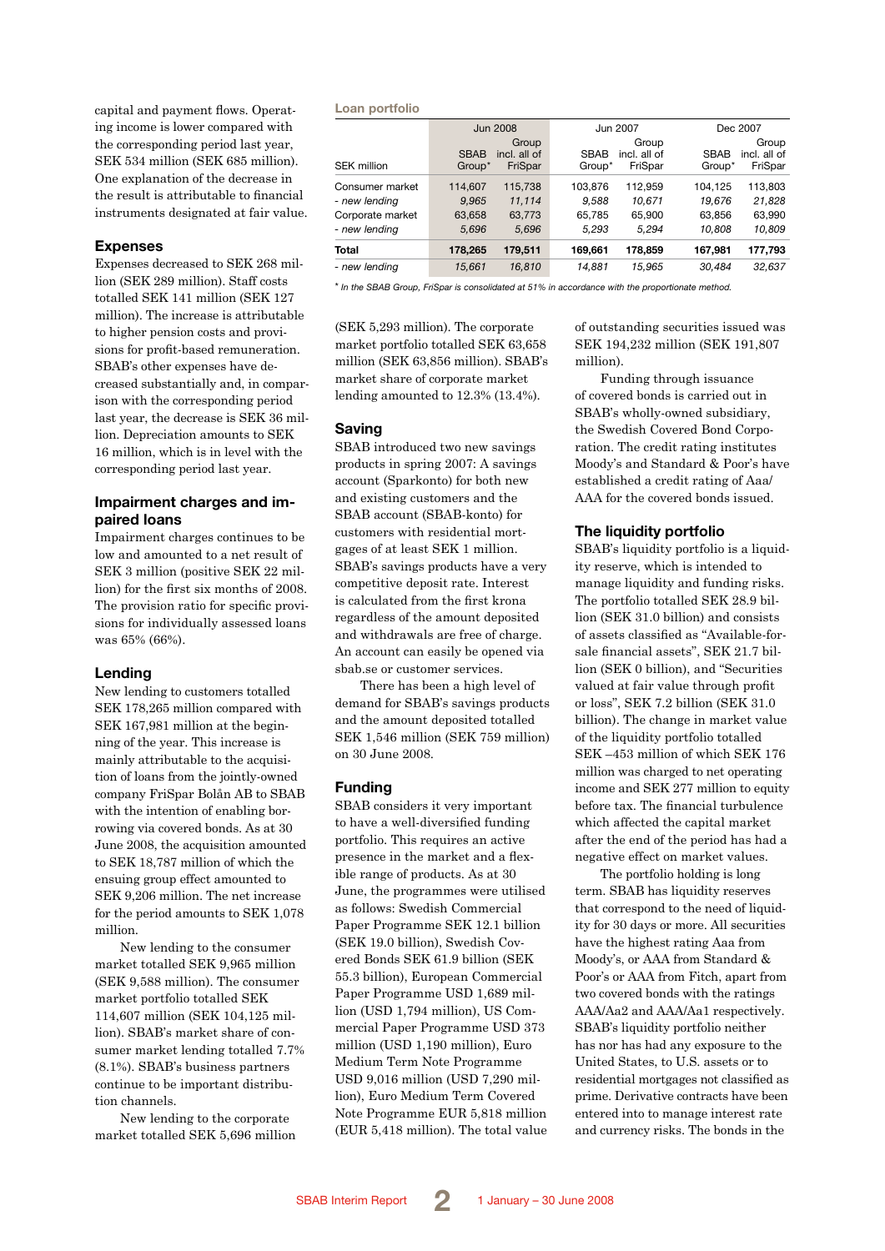capital and payment flows. Operating income is lower compared with the corresponding period last year, SEK 534 million (SEK 685 million). One explanation of the decrease in the result is attributable to financial instruments designated at fair value.

### **Expenses**

Expenses decreased to SEK 268 million (SEK 289 million). Staff costs totalled SEK 141 million (SEK 127 million). The increase is attributable to higher pension costs and provisions for profit-based remuneration. SBAB's other expenses have decreased substantially and, in comparison with the corresponding period last year, the decrease is SEK 36 million. Depreciation amounts to SEK 16 million, which is in level with the corresponding period last year.

### **Impairment charges and impaired loans**

Impairment charges continues to be low and amounted to a net result of SEK 3 million (positive SEK 22 million) for the first six months of 2008. The provision ratio for specific provisions for individually assessed loans was 65% (66%).

### **Lending**

New lending to customers totalled SEK 178,265 million compared with SEK 167,981 million at the beginning of the year. This increase is mainly attributable to the acquisition of loans from the jointly-owned company FriSpar Bolån AB to SBAB with the intention of enabling borrowing via covered bonds. As at 30 June 2008, the acquisition amounted to SEK 18,787 million of which the ensuing group effect amounted to SEK 9,206 million. The net increase for the period amounts to SEK 1,078 million.

New lending to the consumer market totalled SEK 9,965 million (SEK 9,588 million). The consumer market portfolio totalled SEK 114,607 million (SEK 104,125 million). SBAB's market share of consumer market lending totalled 7.7% (8.1%). SBAB's business partners continue to be important distribution channels.

New lending to the corporate market totalled SEK 5,696 million

#### **Loan portfolio**

|                                   |                       | <b>Jun 2008</b>                  |                       | Jun 2007                         |                       | Dec 2007                         |
|-----------------------------------|-----------------------|----------------------------------|-----------------------|----------------------------------|-----------------------|----------------------------------|
| <b>SEK million</b>                | <b>SBAB</b><br>Group* | Group<br>incl. all of<br>FriSpar | <b>SBAB</b><br>Group* | Group<br>incl. all of<br>FriSpar | <b>SBAB</b><br>Group* | Group<br>incl. all of<br>FriSpar |
| Consumer market                   | 114.607               | 115.738                          | 103.876               | 112.959                          | 104.125               | 113,803                          |
| - new lending<br>Corporate market | 9,965<br>63.658       | 11,114<br>63.773                 | 9.588<br>65.785       | 10.671<br>65.900                 | 19,676<br>63.856      | 21,828<br>63,990                 |
| - new lending                     | 5,696                 | 5,696                            | 5,293                 | 5,294                            | 10,808                | 10,809                           |
| <b>Total</b>                      | 178,265               | 179,511                          | 169.661               | 178.859                          | 167.981               | 177,793                          |
| - new lendina                     | 15.661                | 16.810                           | 14.881                | 15.965                           | 30.484                | 32.637                           |

\* *In the SBAB Group, FriSpar is consolidated at 51% in accordance with the proportionate method.*

(SEK 5,293 million). The corporate market portfolio totalled SEK 63,658 million (SEK 63,856 million). SBAB's market share of corporate market lending amounted to 12.3% (13.4%).

#### **Saving**

SBAB introduced two new savings products in spring 2007: A savings account (Sparkonto) for both new and existing customers and the SBAB account (SBAB-konto) for customers with residential mortgages of at least SEK 1 million. SBAB's savings products have a very competitive deposit rate. Interest is calculated from the first krona regardless of the amount deposited and withdrawals are free of charge. An account can easily be opened via sbab.se or customer services.

There has been a high level of demand for SBAB's savings products and the amount deposited totalled SEK 1,546 million (SEK 759 million) on 30 June 2008.

#### **Funding**

SBAB considers it very important to have a well-diversified funding portfolio. This requires an active presence in the market and a flexible range of products. As at 30 June, the programmes were utilised as follows: Swedish Commercial Paper Programme SEK 12.1 billion (SEK 19.0 billion), Swedish Covered Bonds SEK 61.9 billion (SEK 55.3 billion), European Commercial Paper Programme USD 1,689 million (USD 1,794 million), US Commercial Paper Programme USD 373 million (USD 1,190 million), Euro Medium Term Note Programme USD 9,016 million (USD 7,290 million), Euro Medium Term Covered Note Programme EUR 5,818 million (EUR 5,418 million). The total value of outstanding securities issued was SEK 194,232 million (SEK 191,807 million).

Funding through issuance of covered bonds is carried out in SBAB's wholly-owned subsidiary, the Swedish Covered Bond Corporation. The credit rating institutes Moody's and Standard & Poor's have established a credit rating of Aaa/ AAA for the covered bonds issued.

#### **The liquidity portfolio**

SBAB's liquidity portfolio is a liquidity reserve, which is intended to manage liquidity and funding risks. The portfolio totalled SEK 28.9 billion (SEK 31.0 billion) and consists of assets classified as "Available-forsale financial assets", SEK 21.7 billion (SEK 0 billion), and "Securities valued at fair value through profit or loss", SEK 7.2 billion (SEK 31.0 billion). The change in market value of the liquidity portfolio totalled SEK –453 million of which SEK 176 million was charged to net operating income and SEK 277 million to equity before tax. The financial turbulence which affected the capital market after the end of the period has had a negative effect on market values.

The portfolio holding is long term. SBAB has liquidity reserves that correspond to the need of liquidity for 30 days or more. All securities have the highest rating Aaa from Moody's, or AAA from Standard & Poor's or AAA from Fitch, apart from two covered bonds with the ratings AAA/Aa2 and AAA/Aa1 respectively. SBAB's liquidity portfolio neither has nor has had any exposure to the United States, to U.S. assets or to residential mortgages not classified as prime. Derivative contracts have been entered into to manage interest rate and currency risks. The bonds in the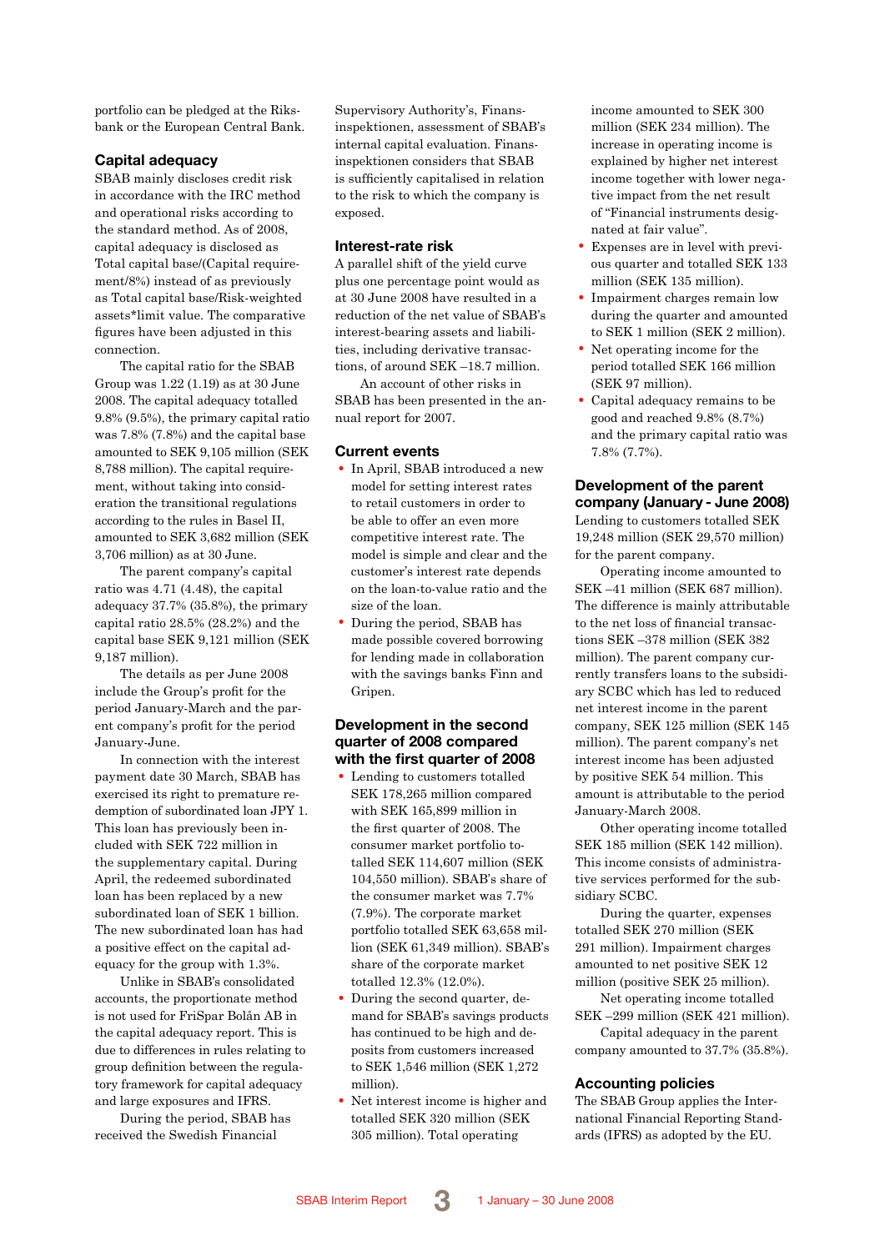portfolio can be pledged at the Riksbank or the European Central Bank.

### **Capital adequacy**

SBAB mainly discloses credit risk in accordance with the IRC method and operational risks according to the standard method. As of 2008, capital adequacy is disclosed as Total capital base/(Capital requirement/8%) instead of as previously as Total capital base/Risk-weighted assets\*limit value. The comparative figures have been adjusted in this connection.

The capital ratio for the SBAB Group was 1.22 (1.19) as at 30 June 2008. The capital adequacy totalled 9.8% (9.5%), the primary capital ratio was 7.8% (7.8%) and the capital base amounted to SEK 9,105 million (SEK 8,788 million). The capital requirement, without taking into consideration the transitional regulations according to the rules in Basel II, amounted to SEK 3,682 million (SEK 3,706 million) as at 30 June.

The parent company's capital ratio was 4.71 (4.48), the capital adequacy 37.7% (35.8%), the primary capital ratio 28.5% (28.2%) and the capital base SEK 9,121 million (SEK 9,187 million).

The details as per June 2008 include the Group's profit for the period January-March and the parent company's profit for the period January-June.

In connection with the interest payment date 30 March, SBAB has exercised its right to premature redemption of subordinated loan JPY 1. This loan has previously been included with SEK 722 million in the supplementary capital. During April, the redeemed subordinated loan has been replaced by a new subordinated loan of SEK 1 billion. The new subordinated loan has had a positive effect on the capital adequacy for the group with 1.3%.

Unlike in SBAB's consolidated accounts, the proportionate method is not used for FriSpar Bolån AB in the capital adequacy report. This is due to differences in rules relating to group definition between the regulatory framework for capital adequacy and large exposures and IFRS.

During the period, SBAB has received the Swedish Financial

Supervisory Authority's, Finansinspektionen, assessment of SBAB's internal capital evaluation. Finansinspektionen considers that SBAB is sufficiently capitalised in relation to the risk to which the company is exposed.

#### **Interest-rate risk**

A parallel shift of the yield curve plus one percentage point would as at 30 June 2008 have resulted in a reduction of the net value of SBAB's interest-bearing assets and liabilities, including derivative transactions, of around SEK –18.7 million.

An account of other risks in SBAB has been presented in the annual report for 2007.

### **Current events**

- In April, SBAB introduced a new model for setting interest rates to retail customers in order to be able to offer an even more competitive interest rate. The model is simple and clear and the customer's interest rate depends on the loan-to-value ratio and the size of the loan.
- During the period, SBAB has made possible covered borrowing for lending made in collaboration with the savings banks Finn and Gripen.

### **Development in the second quarter of 2008 compared with the first quarter of 2008**

- Lending to customers totalled SEK 178,265 million compared with SEK 165,899 million in the first quarter of 2008. The consumer market portfolio totalled SEK 114,607 million (SEK 104,550 million). SBAB's share of the consumer market was 7.7% (7.9%). The corporate market portfolio totalled SEK 63,658 million (SEK 61,349 million). SBAB's share of the corporate market totalled 12.3% (12.0%).
- During the second quarter, demand for SBAB's savings products has continued to be high and deposits from customers increased to SEK 1,546 million (SEK 1,272 million).
- Net interest income is higher and totalled SEK 320 million (SEK 305 million). Total operating

income amounted to SEK 300 million (SEK 234 million). The increase in operating income is explained by higher net interest income together with lower negative impact from the net result of "Financial instruments designated at fair value".

- Expenses are in level with previous quarter and totalled SEK 133 million (SEK 135 million).
- Impairment charges remain low during the quarter and amounted to SEK 1 million (SEK 2 million).
- Net operating income for the period totalled SEK 166 million (SEK 97 million).
- Capital adequacy remains to be good and reached 9.8% (8.7%) and the primary capital ratio was 7.8% (7.7%).

### **Development of the parent company (January - June 2008)**

Lending to customers totalled SEK 19,248 million (SEK 29,570 million) for the parent company.

Operating income amounted to SEK –41 million (SEK 687 million). The difference is mainly attributable to the net loss of financial transactions SEK –378 million (SEK 382 million). The parent company currently transfers loans to the subsidiary SCBC which has led to reduced net interest income in the parent company, SEK 125 million (SEK 145 million). The parent company's net interest income has been adjusted by positive SEK 54 million. This amount is attributable to the period January-March 2008.

Other operating income totalled SEK 185 million (SEK 142 million). This income consists of administrative services performed for the subsidiary SCBC.

During the quarter, expenses totalled SEK 270 million (SEK 291 million). Impairment charges amounted to net positive SEK 12 million (positive SEK 25 million).

Net operating income totalled SEK –299 million (SEK 421 million).

Capital adequacy in the parent company amounted to 37.7% (35.8%).

### **Accounting policies**

The SBAB Group applies the International Financial Reporting Standards (IFRS) as adopted by the EU.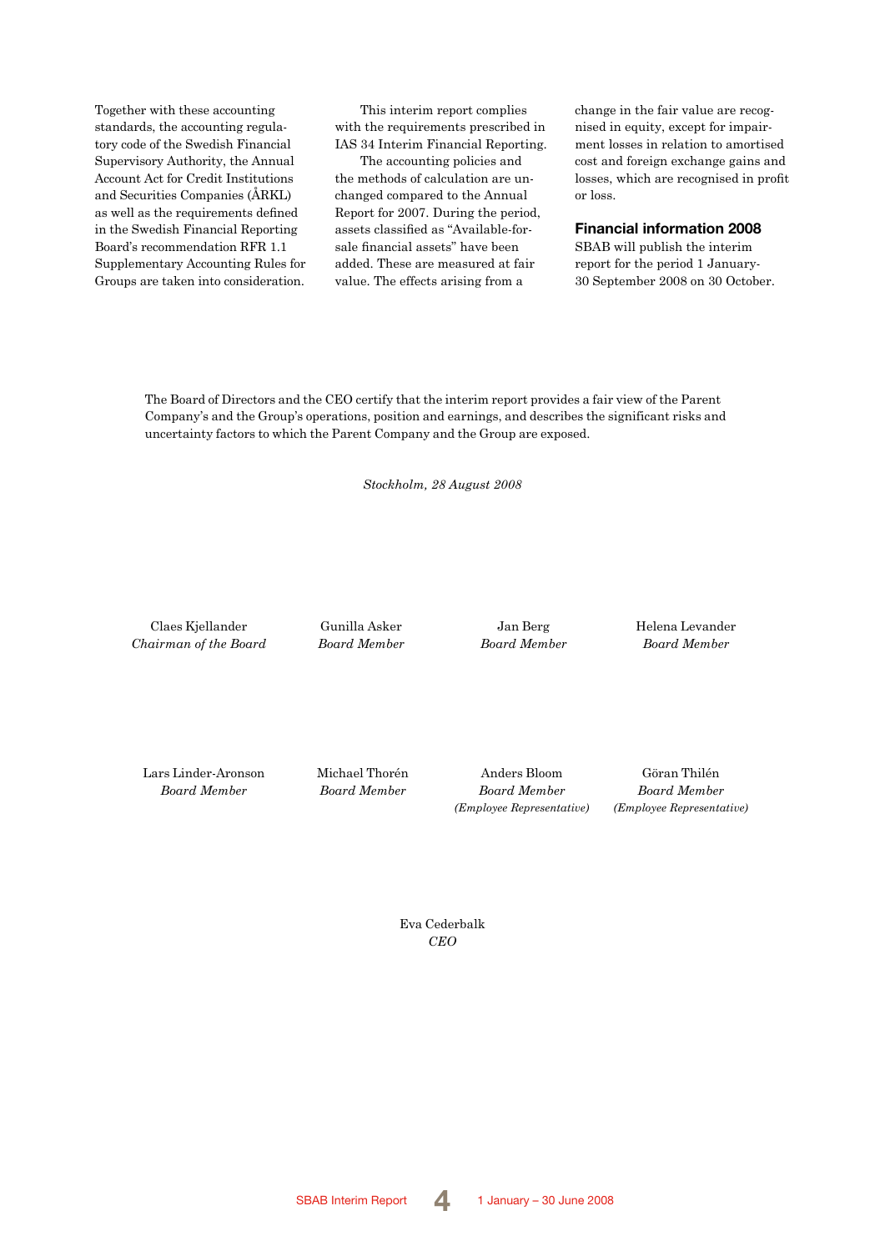Together with these accounting standards, the accounting regulatory code of the Swedish Financial Supervisory Authority, the Annual Account Act for Credit Institutions and Securities Companies (ÅRKL) as well as the requirements defined in the Swedish Financial Reporting Board's recommendation RFR 1.1 Supplementary Accounting Rules for Groups are taken into consideration.

This interim report complies with the requirements prescribed in IAS 34 Interim Financial Reporting.

The accounting policies and the methods of calculation are unchanged compared to the Annual Report for 2007. During the period, assets classified as "Available-forsale financial assets" have been added. These are measured at fair value. The effects arising from a

change in the fair value are recognised in equity, except for impairment losses in relation to amortised cost and foreign exchange gains and losses, which are recognised in profit or loss.

### **Financial information 2008**

SBAB will publish the interim report for the period 1 January-30 September 2008 on 30 October.

The Board of Directors and the CEO certify that the interim report provides a fair view of the Parent Company's and the Group's operations, position and earnings, and describes the significant risks and uncertainty factors to which the Parent Company and the Group are exposed.

*Stockholm, 28 August 2008*

Claes Kjellander *Chairman of the Board* Gunilla Asker *Board Member*

Jan Berg *Board Member* Helena Levander *Board Member*

Lars Linder-Aronson *Board Member*

Michael Thorén *Board Member*

Anders Bloom *Board Member (Employee Representative)*

Göran Thilén *Board Member (Employee Representative)*

Eva Cederbalk *CEO*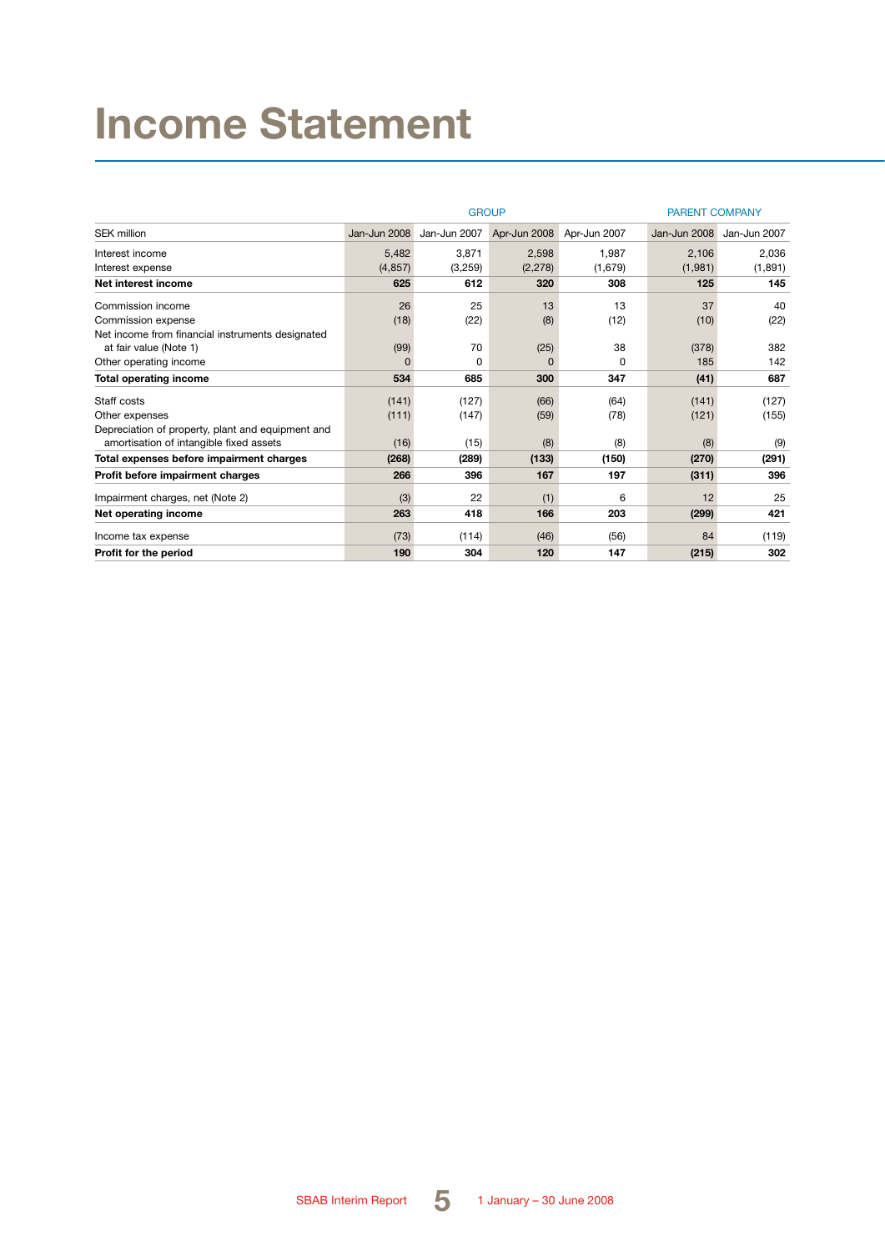# **Income Statement**

|                                                   |              | <b>GROUP</b> | <b>PARENT COMPANY</b> |              |              |              |
|---------------------------------------------------|--------------|--------------|-----------------------|--------------|--------------|--------------|
| <b>SEK million</b>                                | Jan-Jun 2008 | Jan-Jun 2007 | Apr-Jun 2008          | Apr-Jun 2007 | Jan-Jun 2008 | Jan-Jun 2007 |
| Interest income                                   | 5,482        | 3,871        | 2.598                 | 1.987        | 2,106        | 2,036        |
| Interest expense                                  | (4, 857)     | (3,259)      | (2, 278)              | (1,679)      | (1,981)      | (1,891)      |
| Net interest income                               | 625          | 612          | 320                   | 308          | 125          | 145          |
| Commission income                                 | 26           | 25           | 13                    | 13           | 37           | 40           |
| Commission expense                                | (18)         | (22)         | (8)                   | (12)         | (10)         | (22)         |
| Net income from financial instruments designated  |              |              |                       |              |              |              |
| at fair value (Note 1)                            | (99)         | 70           | (25)                  | 38           | (378)        | 382          |
| Other operating income                            | $\Omega$     | 0            | $\Omega$              | 0            | 185          | 142          |
| <b>Total operating income</b>                     | 534          | 685          | 300                   | 347          | (41)         | 687          |
| Staff costs                                       | (141)        | (127)        | (66)                  | (64)         | (141)        | (127)        |
| Other expenses                                    | (111)        | (147)        | (59)                  | (78)         | (121)        | (155)        |
| Depreciation of property, plant and equipment and |              |              |                       |              |              |              |
| amortisation of intangible fixed assets           | (16)         | (15)         | (8)                   | (8)          | (8)          | (9)          |
| Total expenses before impairment charges          | (268)        | (289)        | (133)                 | (150)        | (270)        | (291)        |
| Profit before impairment charges                  | 266          | 396          | 167                   | 197          | (311)        | 396          |
| Impairment charges, net (Note 2)                  | (3)          | 22           | (1)                   | 6            | 12           | 25           |
| Net operating income                              | 263          | 418          | 166                   | 203          | (299)        | 421          |
| Income tax expense                                | (73)         | (114)        | (46)                  | (56)         | 84           | (119)        |
| Profit for the period                             | 190          | 304          | 120                   | 147          | (215)        | 302          |

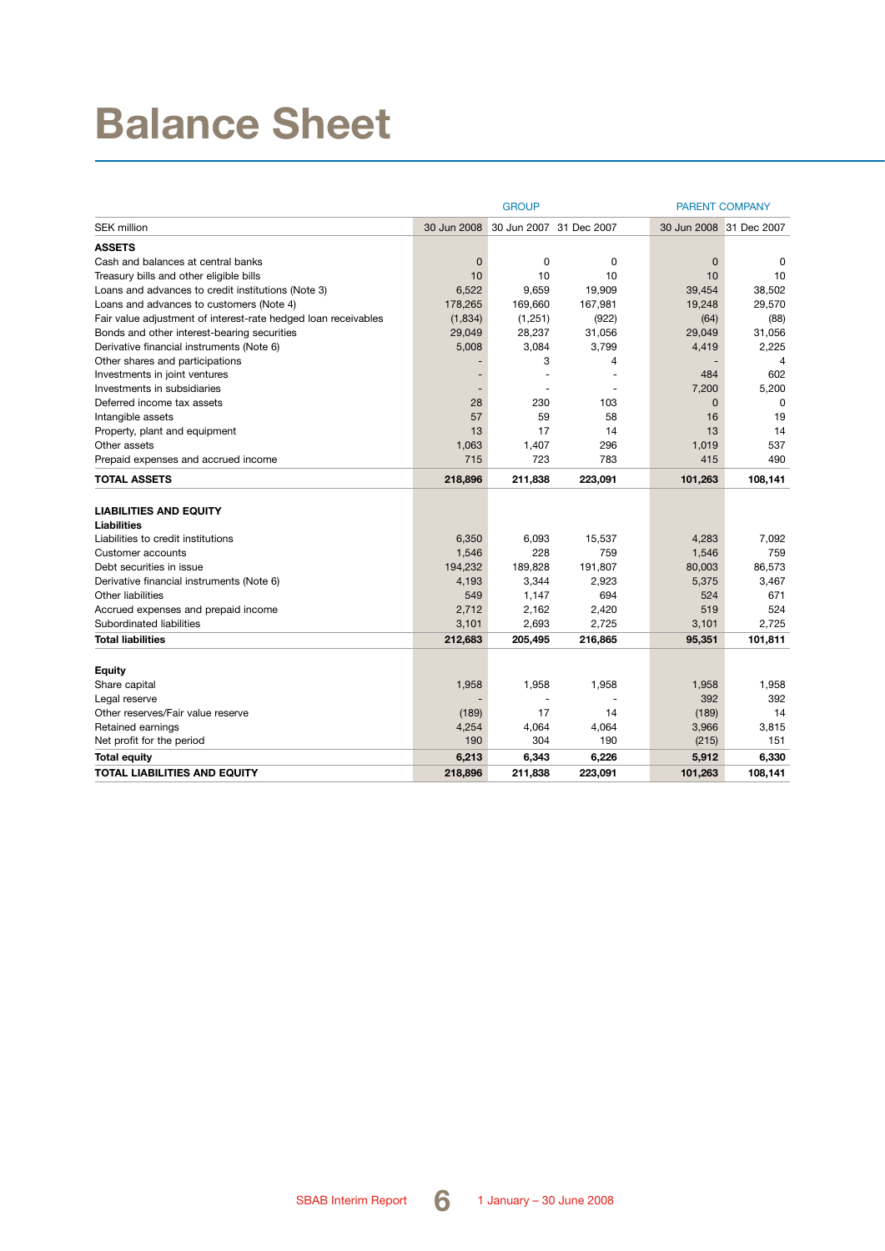# **Balance Sheet**

|                                                                | <b>GROUP</b> |          |                         | <b>PARENT COMPANY</b> |                         |  |
|----------------------------------------------------------------|--------------|----------|-------------------------|-----------------------|-------------------------|--|
| <b>SEK million</b>                                             | 30 Jun 2008  |          | 30 Jun 2007 31 Dec 2007 |                       | 30 Jun 2008 31 Dec 2007 |  |
| <b>ASSETS</b>                                                  |              |          |                         |                       |                         |  |
| Cash and balances at central banks                             | 0            | 0        | 0                       | 0                     | $\Omega$                |  |
| Treasury bills and other eligible bills                        | 10           | 10       | 10                      | 10                    | 10                      |  |
| Loans and advances to credit institutions (Note 3)             | 6,522        | 9,659    | 19,909                  | 39,454                | 38,502                  |  |
| Loans and advances to customers (Note 4)                       | 178,265      | 169,660  | 167,981                 | 19,248                | 29,570                  |  |
| Fair value adjustment of interest-rate hedged loan receivables | (1,834)      | (1, 251) | (922)                   | (64)                  | (88)                    |  |
| Bonds and other interest-bearing securities                    | 29,049       | 28,237   | 31,056                  | 29,049                | 31,056                  |  |
| Derivative financial instruments (Note 6)                      | 5,008        | 3,084    | 3,799                   | 4,419                 | 2,225                   |  |
| Other shares and participations                                |              | 3        | 4                       |                       | 4                       |  |
| Investments in joint ventures                                  |              |          |                         | 484                   | 602                     |  |
| Investments in subsidiaries                                    |              |          |                         | 7,200                 | 5,200                   |  |
| Deferred income tax assets                                     | 28           | 230      | 103                     | $\mathbf{0}$          | $\Omega$                |  |
| Intangible assets                                              | 57           | 59       | 58                      | 16                    | 19                      |  |
| Property, plant and equipment                                  | 13           | 17       | 14                      | 13                    | 14                      |  |
| Other assets                                                   | 1,063        | 1,407    | 296                     | 1,019                 | 537                     |  |
| Prepaid expenses and accrued income                            | 715          | 723      | 783                     | 415                   | 490                     |  |
| <b>TOTAL ASSETS</b>                                            | 218,896      | 211,838  | 223,091                 | 101,263               | 108,141                 |  |
|                                                                |              |          |                         |                       |                         |  |
| <b>LIABILITIES AND EQUITY</b>                                  |              |          |                         |                       |                         |  |
| Liabilities                                                    |              |          |                         |                       |                         |  |
| Liabilities to credit institutions                             | 6,350        | 6,093    | 15,537                  | 4,283                 | 7,092                   |  |
| Customer accounts                                              | 1,546        | 228      | 759                     | 1,546                 | 759                     |  |
| Debt securities in issue                                       | 194,232      | 189,828  | 191,807                 | 80,003                | 86,573                  |  |
| Derivative financial instruments (Note 6)                      | 4,193        | 3,344    | 2,923                   | 5,375                 | 3,467                   |  |
| <b>Other liabilities</b>                                       | 549          | 1,147    | 694                     | 524                   | 671<br>524              |  |
| Accrued expenses and prepaid income                            | 2,712        | 2,162    | 2,420                   | 519                   |                         |  |
| Subordinated liabilities                                       | 3,101        | 2,693    | 2,725                   | 3,101                 | 2,725                   |  |
| <b>Total liabilities</b>                                       | 212,683      | 205,495  | 216,865                 | 95,351                | 101,811                 |  |
| Equity                                                         |              |          |                         |                       |                         |  |
| Share capital                                                  | 1,958        | 1,958    | 1,958                   | 1,958                 | 1,958                   |  |
| Legal reserve                                                  |              |          |                         | 392                   | 392                     |  |
| Other reserves/Fair value reserve                              | (189)        | 17       | 14                      | (189)                 | 14                      |  |
| Retained earnings                                              | 4,254        | 4,064    | 4,064                   | 3,966                 | 3,815                   |  |
| Net profit for the period                                      | 190          | 304      | 190                     | (215)                 | 151                     |  |
| <b>Total equity</b>                                            | 6,213        | 6,343    | 6,226                   | 5,912                 | 6,330                   |  |
| <b>TOTAL LIABILITIES AND EQUITY</b>                            | 218,896      | 211,838  | 223,091                 | 101,263               | 108,141                 |  |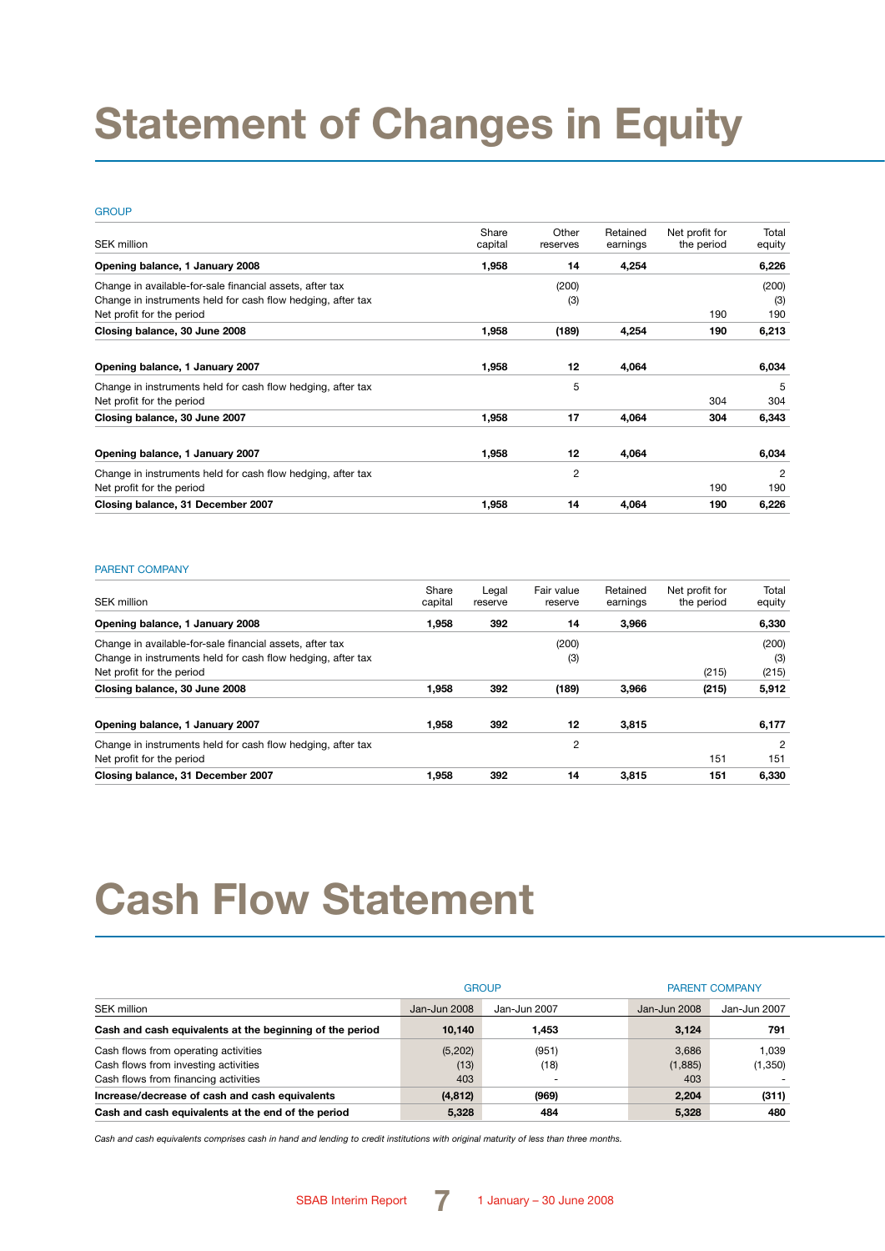# **Statement of Changes in Equity**

#### **GROUP**

| <b>SEK million</b>                                          | Share<br>capital | Other<br>reserves | Retained<br>earnings | Net profit for<br>the period | Total<br>equity |
|-------------------------------------------------------------|------------------|-------------------|----------------------|------------------------------|-----------------|
| Opening balance, 1 January 2008                             | 1,958            | 14                | 4,254                |                              | 6,226           |
| Change in available-for-sale financial assets, after tax    |                  | (200)             |                      |                              | (200)           |
| Change in instruments held for cash flow hedging, after tax |                  | (3)               |                      |                              | (3)             |
| Net profit for the period                                   |                  |                   |                      | 190                          | 190             |
| Closing balance, 30 June 2008                               | 1,958            | (189)             | 4,254                | 190                          | 6,213           |
| Opening balance, 1 January 2007                             | 1,958            | 12                | 4,064                |                              | 6,034           |
| Change in instruments held for cash flow hedging, after tax |                  | 5                 |                      |                              | 5               |
| Net profit for the period                                   |                  |                   |                      | 304                          | 304             |
| Closing balance, 30 June 2007                               | 1,958            | 17                | 4,064                | 304                          | 6,343           |
| Opening balance, 1 January 2007                             | 1,958            | 12                | 4,064                |                              | 6,034           |
| Change in instruments held for cash flow hedging, after tax |                  | 2                 |                      |                              | 2               |
| Net profit for the period                                   |                  |                   |                      | 190                          | 190             |
| Closing balance, 31 December 2007                           | 1,958            | 14                | 4.064                | 190                          | 6,226           |

#### PARENT COMPANY

| SEK million                                                                                                             | Share<br>capital | Legal<br>reserve | Fair value<br>reserve | Retained<br>earnings | Net profit for<br>the period | Total<br>equity |
|-------------------------------------------------------------------------------------------------------------------------|------------------|------------------|-----------------------|----------------------|------------------------------|-----------------|
| Opening balance, 1 January 2008                                                                                         | 1,958            | 392              | 14                    | 3,966                |                              | 6,330           |
| Change in available-for-sale financial assets, after tax<br>Change in instruments held for cash flow hedging, after tax |                  |                  | (200)<br>(3)          |                      |                              | (200)<br>(3)    |
| Net profit for the period<br>Closing balance, 30 June 2008                                                              | 1.958            | 392              | (189)                 | 3.966                | (215)<br>(215)               | (215)<br>5,912  |
| Opening balance, 1 January 2007                                                                                         | 1.958            | 392              | 12                    | 3.815                |                              | 6,177           |
| Change in instruments held for cash flow hedging, after tax<br>Net profit for the period                                |                  |                  | 2                     |                      | 151                          | 2<br>151        |
| Closing balance, 31 December 2007                                                                                       | 1.958            | 392              | 14                    | 3.815                | 151                          | 6,330           |

# **Cash Flow Statement**

|                                                          |              | <b>GROUP</b>             | <b>PARENT COMPANY</b> |              |  |
|----------------------------------------------------------|--------------|--------------------------|-----------------------|--------------|--|
| <b>SEK million</b>                                       | Jan-Jun 2008 | Jan-Jun 2007             | Jan-Jun 2008          | Jan-Jun 2007 |  |
| Cash and cash equivalents at the beginning of the period | 10.140       | 1,453                    | 3.124                 | 791          |  |
| Cash flows from operating activities                     | (5,202)      | (951)                    | 3.686                 | 1.039        |  |
| Cash flows from investing activities                     | (13)         | (18)                     | (1,885)               | (1,350)      |  |
| Cash flows from financing activities                     | 403          | $\overline{\phantom{0}}$ | 403                   |              |  |
| Increase/decrease of cash and cash equivalents           | (4, 812)     | (969)                    | 2.204                 | (311)        |  |
| Cash and cash equivalents at the end of the period       | 5,328        | 484                      | 5,328                 | 480          |  |

*Cash and cash equivalents comprises cash in hand and lending to credit institutions with original maturity of less than three months.*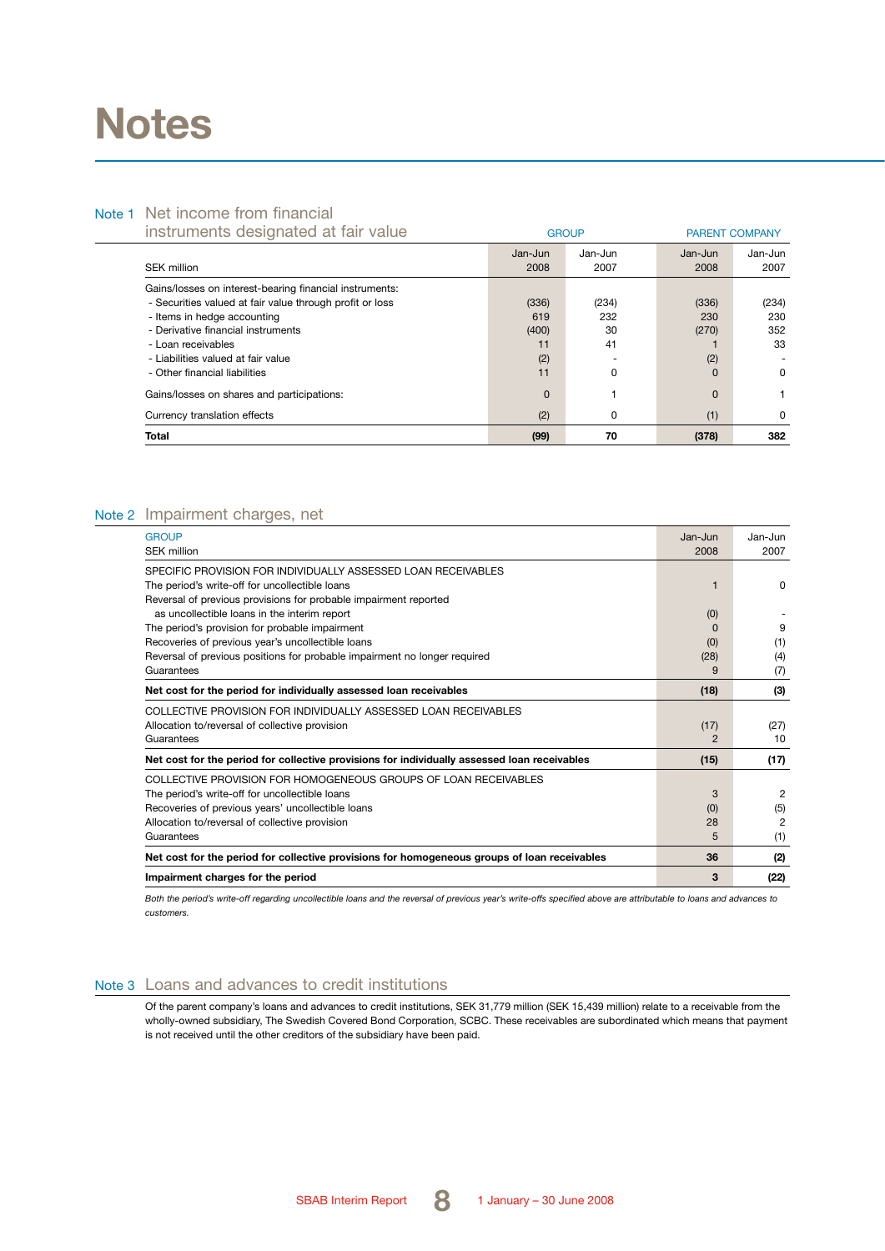# **Notes**

### Note 1 Net income from financial

| instruments designated at fair value                     |          | <b>GROUP</b> | <b>PARENT COMPANY</b> |          |
|----------------------------------------------------------|----------|--------------|-----------------------|----------|
|                                                          | Jan-Jun  | Jan-Jun      | Jan-Jun               | Jan-Jun  |
| SEK million                                              | 2008     | 2007         | 2008                  | 2007     |
| Gains/losses on interest-bearing financial instruments:  |          |              |                       |          |
| - Securities valued at fair value through profit or loss | (336)    | (234)        | (336)                 | (234)    |
| - Items in hedge accounting                              | 619      | 232          | 230                   | 230      |
| - Derivative financial instruments                       | (400)    | 30           | (270)                 | 352      |
| - Loan receivables                                       | 11       | 41           |                       | 33       |
| - Liabilities valued at fair value                       | (2)      |              | (2)                   |          |
| - Other financial liabilities                            | 11       | 0            | 0                     | $\Omega$ |
| Gains/losses on shares and participations:               | $\Omega$ |              | $\Omega$              |          |
| Currency translation effects                             | (2)      | 0            | (1)                   | 0        |
| <b>Total</b>                                             | (99)     | 70           | (378)                 | 382      |

### Note 2 Impairment charges, net

| <b>GROUP</b>                                                                                 | Jan-Jun        | Jan-Jun |
|----------------------------------------------------------------------------------------------|----------------|---------|
| <b>SEK million</b>                                                                           | 2008           | 2007    |
| SPECIFIC PROVISION FOR INDIVIDUALLY ASSESSED LOAN RECEIVABLES                                |                |         |
| The period's write-off for uncollectible loans                                               | 1              | 0       |
| Reversal of previous provisions for probable impairment reported                             |                |         |
| as uncollectible loans in the interim report                                                 | (0)            |         |
| The period's provision for probable impairment                                               | <sup>0</sup>   | 9       |
| Recoveries of previous year's uncollectible loans                                            | (0)            | (1)     |
| Reversal of previous positions for probable impairment no longer required                    | (28)           | (4)     |
| Guarantees                                                                                   | 9              | (7)     |
| Net cost for the period for individually assessed loan receivables                           | (18)           | (3)     |
| COLLECTIVE PROVISION FOR INDIVIDUALLY ASSESSED LOAN RECEIVABLES                              |                |         |
| Allocation to/reversal of collective provision                                               | (17)           | (27)    |
| Guarantees                                                                                   | $\mathfrak{p}$ | 10      |
| Net cost for the period for collective provisions for individually assessed loan receivables | (15)           | (17)    |
| COLLECTIVE PROVISION FOR HOMOGENEOUS GROUPS OF LOAN RECEIVABLES                              |                |         |
| The period's write-off for uncollectible loans                                               | 3              | 2       |
| Recoveries of previous years' uncollectible loans                                            | (0)            | (5)     |
| Allocation to/reversal of collective provision                                               | 28             | 2       |
| Guarantees                                                                                   | 5              | (1)     |
| Net cost for the period for collective provisions for homogeneous groups of loan receivables | 36             | (2)     |
| Impairment charges for the period                                                            | 3              | (22)    |

*Both the period's write-off regarding uncollectible loans and the reversal of previous year's write-offs specified above are attributable to loans and advances to customers.*

### Note 3 Loans and advances to credit institutions

Of the parent company's loans and advances to credit institutions, SEK 31,779 million (SEK 15,439 million) relate to a receivable from the wholly-owned subsidiary, The Swedish Covered Bond Corporation, SCBC. These receivables are subordinated which means that payment is not received until the other creditors of the subsidiary have been paid.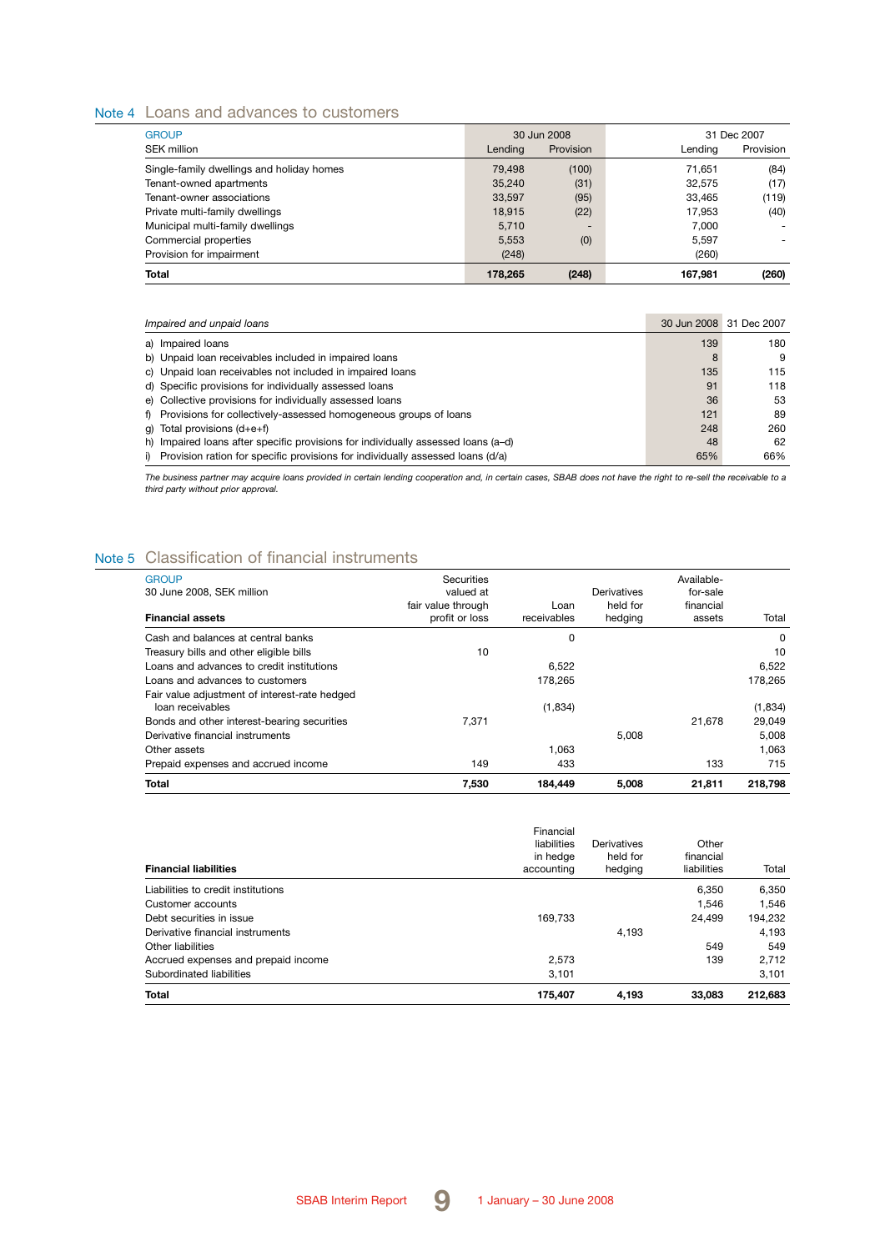### Note 4 Loans and advances to customers

| <b>GROUP</b>                              |         | 30 Jun 2008 |         | 31 Dec 2007    |
|-------------------------------------------|---------|-------------|---------|----------------|
| <b>SEK million</b>                        | Lending | Provision   | Lending | Provision      |
| Single-family dwellings and holiday homes | 79.498  | (100)       | 71.651  | (84)           |
| Tenant-owned apartments                   | 35.240  | (31)        | 32.575  | (17)           |
| Tenant-owner associations                 | 33,597  | (95)        | 33.465  | (119)          |
| Private multi-family dwellings            | 18.915  | (22)        | 17.953  | (40)           |
| Municipal multi-family dwellings          | 5.710   | -           | 7.000   | $\overline{a}$ |
| Commercial properties                     | 5.553   | (0)         | 5.597   |                |
| Provision for impairment                  | (248)   |             | (260)   |                |
| Total                                     | 178.265 | (248)       | 167.981 | (260)          |

| Impaired and unpaid loans                                                         |     | 30 Jun 2008 31 Dec 2007 |
|-----------------------------------------------------------------------------------|-----|-------------------------|
| a) Impaired loans                                                                 | 139 | 180                     |
| b) Unpaid loan receivables included in impaired loans                             | 8   | 9                       |
| c) Unpaid loan receivables not included in impaired loans                         | 135 | 115                     |
| d) Specific provisions for individually assessed loans                            | 91  | 118                     |
| e) Collective provisions for individually assessed loans                          | 36  | 53                      |
| f) Provisions for collectively-assessed homogeneous groups of loans               | 121 | 89                      |
| q) Total provisions $(d+e+f)$                                                     | 248 | 260                     |
| h) Impaired loans after specific provisions for individually assessed loans (a-d) | 48  | 62                      |
| i) Provision ration for specific provisions for individually assessed loans (d/a) | 65% | 66%                     |

*The business partner may acquire loans provided in certain lending cooperation and, in certain cases, SBAB does not have the right to re-sell the receivable to a third party without prior approval.*

## Note 5 Classification of financial instruments

| <b>GROUP</b><br>30 June 2008, SEK million<br><b>Financial assets</b> | Securities<br>valued at<br>fair value through<br>profit or loss | Loan<br>receivables | Derivatives<br>held for<br>hedging | Available-<br>for-sale<br>financial<br>assets | Total    |
|----------------------------------------------------------------------|-----------------------------------------------------------------|---------------------|------------------------------------|-----------------------------------------------|----------|
| Cash and balances at central banks                                   |                                                                 | 0                   |                                    |                                               | $\Omega$ |
| Treasury bills and other eligible bills                              | 10                                                              |                     |                                    |                                               | 10       |
| Loans and advances to credit institutions                            |                                                                 | 6.522               |                                    |                                               | 6.522    |
| Loans and advances to customers                                      |                                                                 | 178.265             |                                    |                                               | 178,265  |
| Fair value adjustment of interest-rate hedged<br>loan receivables    |                                                                 | (1,834)             |                                    |                                               | (1,834)  |
| Bonds and other interest-bearing securities                          | 7.371                                                           |                     |                                    | 21.678                                        | 29.049   |
| Derivative financial instruments                                     |                                                                 |                     | 5,008                              |                                               | 5,008    |
| Other assets                                                         |                                                                 | 1.063               |                                    |                                               | 1.063    |
| Prepaid expenses and accrued income                                  | 149                                                             | 433                 |                                    | 133                                           | 715      |
| Total                                                                | 7.530                                                           | 184.449             | 5.008                              | 21.811                                        | 218.798  |

| <b>Total</b>                        | 175.407                                            | 4,193                              | 33,083                            | 212,683 |
|-------------------------------------|----------------------------------------------------|------------------------------------|-----------------------------------|---------|
| Subordinated liabilities            | 3,101                                              |                                    |                                   | 3.101   |
| Accrued expenses and prepaid income | 2.573                                              |                                    | 139                               | 2.712   |
| Other liabilities                   |                                                    |                                    | 549                               | 549     |
| Derivative financial instruments    |                                                    | 4.193                              |                                   | 4.193   |
| Debt securities in issue            | 169.733                                            |                                    | 24.499                            | 194.232 |
| Customer accounts                   |                                                    |                                    | 1.546                             | 1.546   |
| Liabilities to credit institutions  |                                                    |                                    | 6.350                             | 6,350   |
| <b>Financial liabilities</b>        | Financial<br>liabilities<br>in hedge<br>accounting | Derivatives<br>held for<br>hedging | Other<br>financial<br>liabilities | Total   |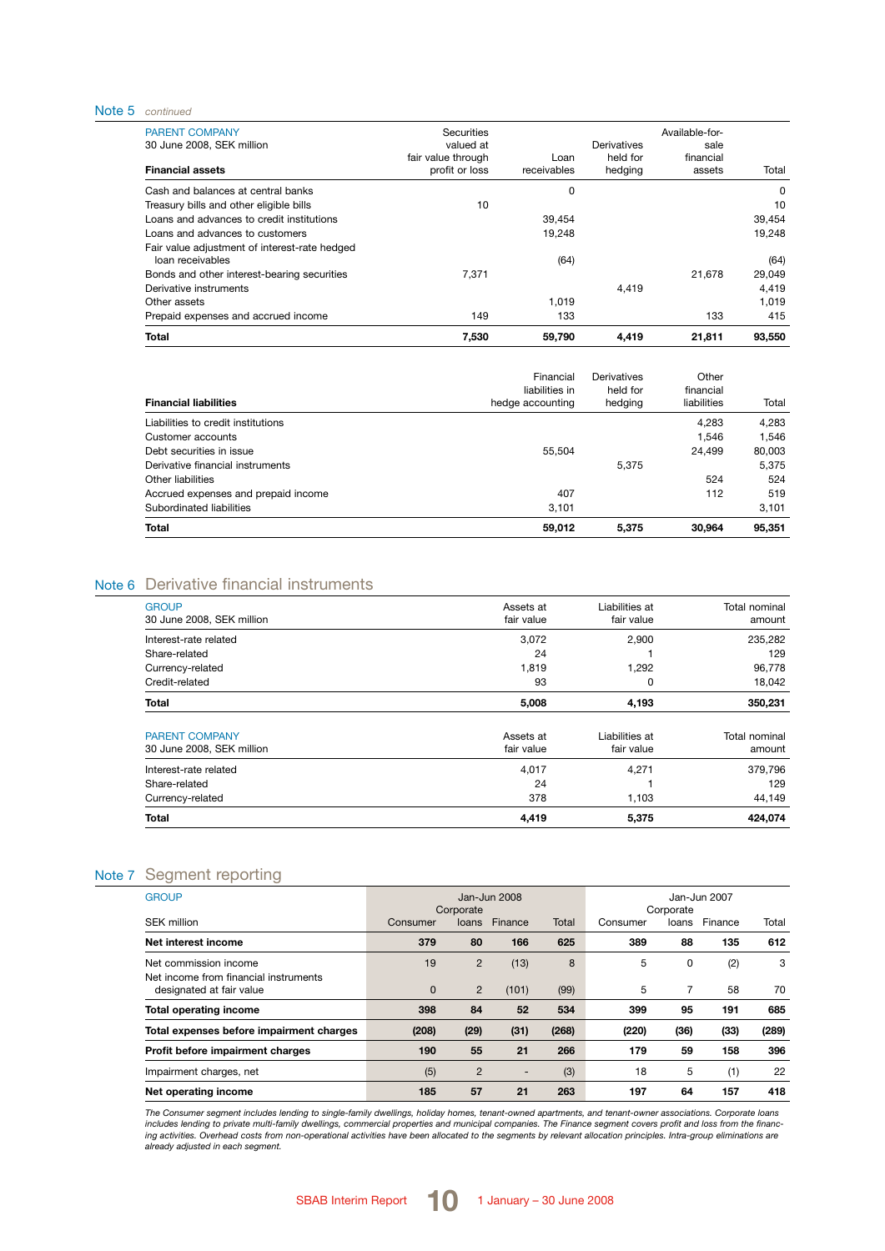#### Note 5 *continued*

| 7.530                                | 59,790              | 4,419               | 21,811              | 93.550         |
|--------------------------------------|---------------------|---------------------|---------------------|----------------|
| 149                                  | 133                 |                     | 133                 | 415            |
|                                      | 1.019               |                     |                     | 1.019          |
|                                      |                     | 4,419               |                     | 4,419          |
| 7.371                                |                     |                     | 21.678              | 29,049         |
|                                      | (64)                |                     |                     | (64)           |
|                                      | 19.248              |                     |                     | 19.248         |
|                                      | 39.454              |                     |                     | 39.454         |
| 10                                   |                     |                     |                     | 10             |
|                                      | 0                   |                     |                     | 0              |
| fair value through<br>profit or loss | Loan<br>receivables | held for<br>hedging | financial<br>assets | Total          |
| valued at                            |                     | Derivatives         | sale                |                |
|                                      | Securities          |                     |                     | Available-for- |

| <b>Financial liabilities</b>        | Financial<br>liabilities in<br>hedge accounting | Derivatives<br>held for<br>hedging | Other<br>financial<br>liabilities | Total  |
|-------------------------------------|-------------------------------------------------|------------------------------------|-----------------------------------|--------|
| Liabilities to credit institutions  |                                                 |                                    | 4.283                             | 4,283  |
| Customer accounts                   |                                                 |                                    | 1.546                             | 1.546  |
| Debt securities in issue            | 55.504                                          |                                    | 24.499                            | 80.003 |
| Derivative financial instruments    |                                                 | 5.375                              |                                   | 5.375  |
| Other liabilities                   |                                                 |                                    | 524                               | 524    |
| Accrued expenses and prepaid income | 407                                             |                                    | 112                               | 519    |
| Subordinated liabilities            | 3,101                                           |                                    |                                   | 3.101  |
| Total                               | 59.012                                          | 5.375                              | 30,964                            | 95,351 |

## Note 6 Derivative financial instruments

| <b>GROUP</b><br>30 June 2008, SEK million          | Assets at<br>fair value | Liabilities at<br>fair value | Total nominal<br>amount |
|----------------------------------------------------|-------------------------|------------------------------|-------------------------|
| Interest-rate related                              | 3,072                   | 2,900                        | 235,282                 |
| Share-related                                      | 24                      |                              | 129                     |
| Currency-related                                   | 1,819                   | 1,292                        | 96,778                  |
| Credit-related                                     | 93                      | 0                            | 18,042                  |
| Total                                              | 5,008                   | 4,193                        | 350,231                 |
| <b>PARENT COMPANY</b><br>30 June 2008, SEK million | Assets at<br>fair value | Liabilities at<br>fair value | Total nominal<br>amount |
| Interest-rate related                              | 4,017                   | 4,271                        | 379,796                 |
| Share-related                                      | 24                      |                              | 129                     |
| Currency-related                                   | 378                     | 1,103                        | 44,149                  |
| Total                                              | 4,419                   | 5,375                        | 424,074                 |

### Note 7 Segment reporting

| <b>GROUP</b>                                                   | Jan-Jun 2008<br>Corporate |                |                          | Jan-Jun 2007<br>Corporate |          |       |         |       |
|----------------------------------------------------------------|---------------------------|----------------|--------------------------|---------------------------|----------|-------|---------|-------|
| SEK million                                                    | Consumer                  | loans          | Finance                  | Total                     | Consumer | loans | Finance | Total |
| Net interest income                                            | 379                       | 80             | 166                      | 625                       | 389      | 88    | 135     | 612   |
| Net commission income<br>Net income from financial instruments | 19                        | 2              | (13)                     | 8                         | 5        | 0     | (2)     | 3     |
| designated at fair value                                       | $\mathbf 0$               | $\overline{2}$ | (101)                    | (99)                      | 5        |       | 58      | 70    |
| <b>Total operating income</b>                                  | 398                       | 84             | 52                       | 534                       | 399      | 95    | 191     | 685   |
| Total expenses before impairment charges                       | (208)                     | (29)           | (31)                     | (268)                     | (220)    | (36)  | (33)    | (289) |
| Profit before impairment charges                               | 190                       | 55             | 21                       | 266                       | 179      | 59    | 158     | 396   |
| Impairment charges, net                                        | (5)                       | $\overline{2}$ | $\overline{\phantom{a}}$ | (3)                       | 18       | 5     | (1)     | 22    |
| Net operating income                                           | 185                       | 57             | 21                       | 263                       | 197      | 64    | 157     | 418   |

The Consumer segment includes lending to single-family dwellings, holiday homes, tenant-owned apartments, and tenant-owner associations. Corporate loans<br>includes lending to private mult-family dwellings, commercial propert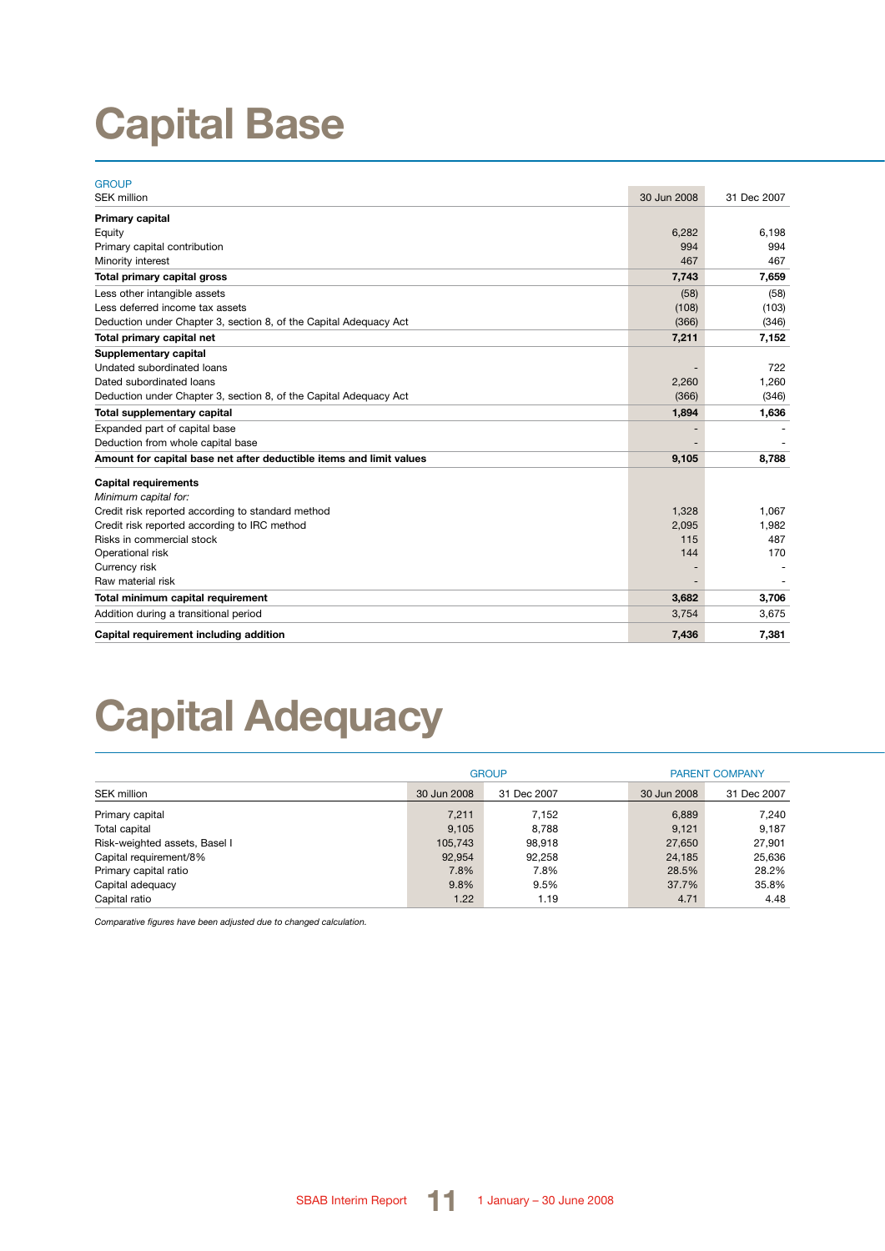# **Capital Base**

| <b>GROUP</b>                                                        |             |             |
|---------------------------------------------------------------------|-------------|-------------|
| <b>SEK million</b>                                                  | 30 Jun 2008 | 31 Dec 2007 |
| Primary capital                                                     |             |             |
| Equity                                                              | 6,282       | 6,198       |
| Primary capital contribution                                        | 994         | 994         |
| Minority interest                                                   | 467         | 467         |
| Total primary capital gross                                         | 7,743       | 7,659       |
| Less other intangible assets                                        | (58)        | (58)        |
| Less deferred income tax assets                                     | (108)       | (103)       |
| Deduction under Chapter 3, section 8, of the Capital Adequacy Act   | (366)       | (346)       |
| Total primary capital net                                           | 7,211       | 7,152       |
| Supplementary capital                                               |             |             |
| Undated subordinated loans                                          |             | 722         |
| Dated subordinated loans                                            | 2,260       | 1,260       |
| Deduction under Chapter 3, section 8, of the Capital Adequacy Act   | (366)       | (346)       |
| Total supplementary capital                                         | 1,894       | 1,636       |
| Expanded part of capital base                                       |             |             |
| Deduction from whole capital base                                   |             |             |
| Amount for capital base net after deductible items and limit values | 9,105       | 8,788       |
| <b>Capital requirements</b>                                         |             |             |
| Minimum capital for:                                                |             |             |
| Credit risk reported according to standard method                   | 1,328       | 1.067       |
| Credit risk reported according to IRC method                        | 2,095       | 1,982       |
| Risks in commercial stock                                           | 115         | 487         |
| Operational risk                                                    | 144         | 170         |
| Currency risk                                                       |             |             |
| Raw material risk                                                   |             |             |
| Total minimum capital requirement                                   | 3,682       | 3,706       |
| Addition during a transitional period                               | 3,754       | 3,675       |
| Capital requirement including addition                              | 7,436       | 7,381       |

# **Capital Adequacy**

|                               |             | <b>GROUP</b> | <b>PARENT COMPANY</b> |             |  |
|-------------------------------|-------------|--------------|-----------------------|-------------|--|
| SEK million                   | 30 Jun 2008 | 31 Dec 2007  | 30 Jun 2008           | 31 Dec 2007 |  |
| Primary capital               | 7,211       | 7.152        | 6,889                 | 7.240       |  |
| Total capital                 | 9.105       | 8.788        | 9,121                 | 9.187       |  |
| Risk-weighted assets, Basel I | 105.743     | 98.918       | 27,650                | 27.901      |  |
| Capital requirement/8%        | 92,954      | 92,258       | 24,185                | 25.636      |  |
| Primary capital ratio         | 7.8%        | 7.8%         | 28.5%                 | 28.2%       |  |
| Capital adequacy              | 9.8%        | 9.5%         | 37.7%                 | 35.8%       |  |
| Capital ratio                 | 1.22        | 1.19         | 4.71                  | 4.48        |  |

*Comparative figures have been adjusted due to changed calculation.*